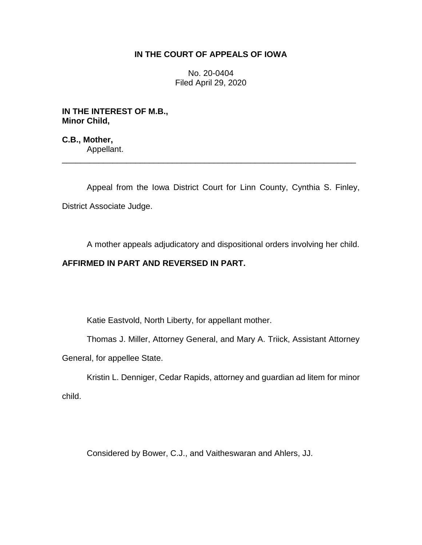## **IN THE COURT OF APPEALS OF IOWA**

No. 20-0404 Filed April 29, 2020

**IN THE INTEREST OF M.B., Minor Child,**

**C.B., Mother,** Appellant.

Appeal from the Iowa District Court for Linn County, Cynthia S. Finley, District Associate Judge.

\_\_\_\_\_\_\_\_\_\_\_\_\_\_\_\_\_\_\_\_\_\_\_\_\_\_\_\_\_\_\_\_\_\_\_\_\_\_\_\_\_\_\_\_\_\_\_\_\_\_\_\_\_\_\_\_\_\_\_\_\_\_\_\_

A mother appeals adjudicatory and dispositional orders involving her child.

## **AFFIRMED IN PART AND REVERSED IN PART.**

Katie Eastvold, North Liberty, for appellant mother.

Thomas J. Miller, Attorney General, and Mary A. Triick, Assistant Attorney General, for appellee State.

Kristin L. Denniger, Cedar Rapids, attorney and guardian ad litem for minor child.

Considered by Bower, C.J., and Vaitheswaran and Ahlers, JJ.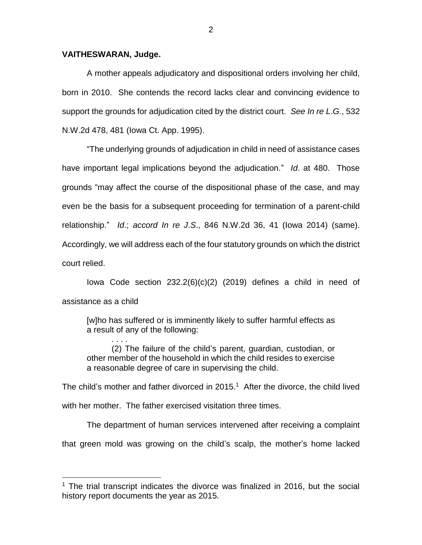## **VAITHESWARAN, Judge.**

. . . .

 $\overline{a}$ 

A mother appeals adjudicatory and dispositional orders involving her child, born in 2010. She contends the record lacks clear and convincing evidence to support the grounds for adjudication cited by the district court. *See In re L*.*G*., 532 N.W.2d 478, 481 (Iowa Ct. App. 1995).

"The underlying grounds of adjudication in child in need of assistance cases have important legal implications beyond the adjudication." *Id*. at 480. Those grounds "may affect the course of the dispositional phase of the case, and may even be the basis for a subsequent proceeding for termination of a parent-child relationship." *Id*.; *accord In re J*.*S*., 846 N.W.2d 36, 41 (Iowa 2014) (same). Accordingly, we will address each of the four statutory grounds on which the district court relied.

Iowa Code section  $232.2(6)(c)(2)$  (2019) defines a child in need of assistance as a child

[w]ho has suffered or is imminently likely to suffer harmful effects as a result of any of the following:

(2) The failure of the child's parent, guardian, custodian, or other member of the household in which the child resides to exercise a reasonable degree of care in supervising the child.

The child's mother and father divorced in 2015. <sup>1</sup> After the divorce, the child lived with her mother. The father exercised visitation three times.

The department of human services intervened after receiving a complaint that green mold was growing on the child's scalp, the mother's home lacked

<sup>&</sup>lt;sup>1</sup> The trial transcript indicates the divorce was finalized in 2016, but the social history report documents the year as 2015.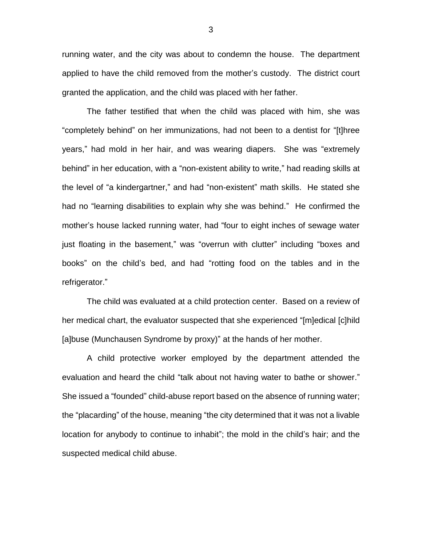running water, and the city was about to condemn the house. The department applied to have the child removed from the mother's custody. The district court granted the application, and the child was placed with her father.

The father testified that when the child was placed with him, she was "completely behind" on her immunizations, had not been to a dentist for "[t]hree years," had mold in her hair, and was wearing diapers. She was "extremely behind" in her education, with a "non-existent ability to write," had reading skills at the level of "a kindergartner," and had "non-existent" math skills. He stated she had no "learning disabilities to explain why she was behind." He confirmed the mother's house lacked running water, had "four to eight inches of sewage water just floating in the basement," was "overrun with clutter" including "boxes and books" on the child's bed, and had "rotting food on the tables and in the refrigerator."

The child was evaluated at a child protection center. Based on a review of her medical chart, the evaluator suspected that she experienced "[m]edical [c]hild [a]buse (Munchausen Syndrome by proxy)" at the hands of her mother.

A child protective worker employed by the department attended the evaluation and heard the child "talk about not having water to bathe or shower." She issued a "founded" child-abuse report based on the absence of running water; the "placarding" of the house, meaning "the city determined that it was not a livable location for anybody to continue to inhabit"; the mold in the child's hair; and the suspected medical child abuse.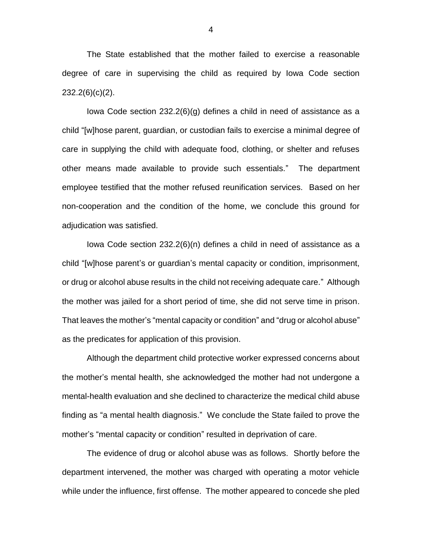The State established that the mother failed to exercise a reasonable degree of care in supervising the child as required by Iowa Code section 232.2(6)(c)(2).

Iowa Code section 232.2(6)(g) defines a child in need of assistance as a child "[w]hose parent, guardian, or custodian fails to exercise a minimal degree of care in supplying the child with adequate food, clothing, or shelter and refuses other means made available to provide such essentials." The department employee testified that the mother refused reunification services. Based on her non-cooperation and the condition of the home, we conclude this ground for adjudication was satisfied.

Iowa Code section 232.2(6)(n) defines a child in need of assistance as a child "[w]hose parent's or guardian's mental capacity or condition, imprisonment, or drug or alcohol abuse results in the child not receiving adequate care." Although the mother was jailed for a short period of time, she did not serve time in prison. That leaves the mother's "mental capacity or condition" and "drug or alcohol abuse" as the predicates for application of this provision.

Although the department child protective worker expressed concerns about the mother's mental health, she acknowledged the mother had not undergone a mental-health evaluation and she declined to characterize the medical child abuse finding as "a mental health diagnosis." We conclude the State failed to prove the mother's "mental capacity or condition" resulted in deprivation of care.

The evidence of drug or alcohol abuse was as follows. Shortly before the department intervened, the mother was charged with operating a motor vehicle while under the influence, first offense. The mother appeared to concede she pled